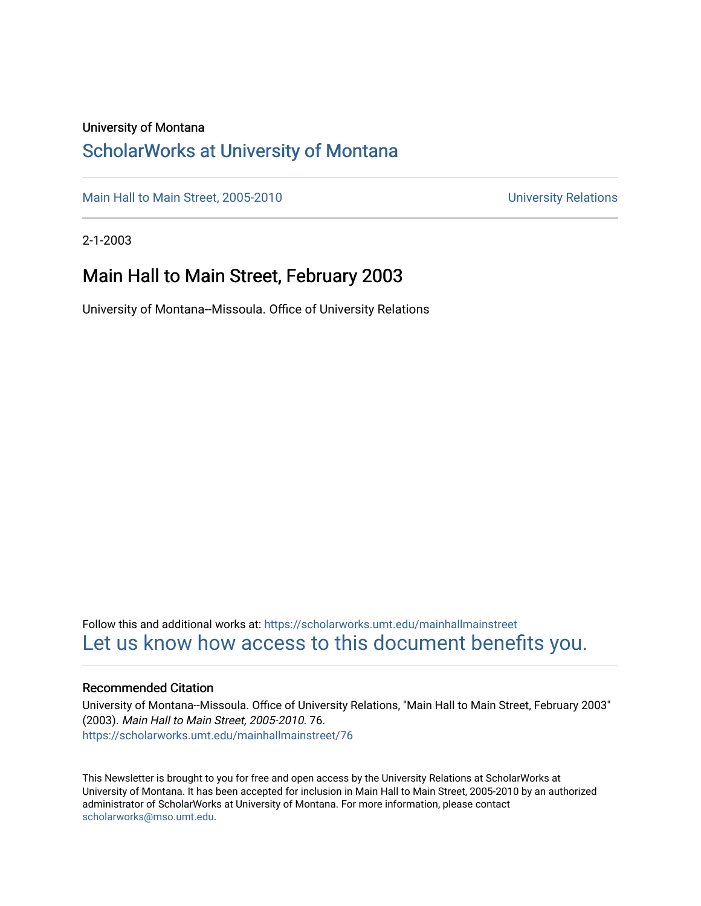#### University of Montana

#### [ScholarWorks at University of Montana](https://scholarworks.umt.edu/)

[Main Hall to Main Street, 2005-2010](https://scholarworks.umt.edu/mainhallmainstreet) Main Hall to Main Street, 2005-2010

2-1-2003

#### Main Hall to Main Street, February 2003

University of Montana--Missoula. Office of University Relations

Follow this and additional works at: [https://scholarworks.umt.edu/mainhallmainstreet](https://scholarworks.umt.edu/mainhallmainstreet?utm_source=scholarworks.umt.edu%2Fmainhallmainstreet%2F76&utm_medium=PDF&utm_campaign=PDFCoverPages) [Let us know how access to this document benefits you.](https://goo.gl/forms/s2rGfXOLzz71qgsB2) 

#### Recommended Citation

University of Montana--Missoula. Office of University Relations, "Main Hall to Main Street, February 2003" (2003). Main Hall to Main Street, 2005-2010. 76. [https://scholarworks.umt.edu/mainhallmainstreet/76](https://scholarworks.umt.edu/mainhallmainstreet/76?utm_source=scholarworks.umt.edu%2Fmainhallmainstreet%2F76&utm_medium=PDF&utm_campaign=PDFCoverPages) 

This Newsletter is brought to you for free and open access by the University Relations at ScholarWorks at University of Montana. It has been accepted for inclusion in Main Hall to Main Street, 2005-2010 by an authorized administrator of ScholarWorks at University of Montana. For more information, please contact [scholarworks@mso.umt.edu.](mailto:scholarworks@mso.umt.edu)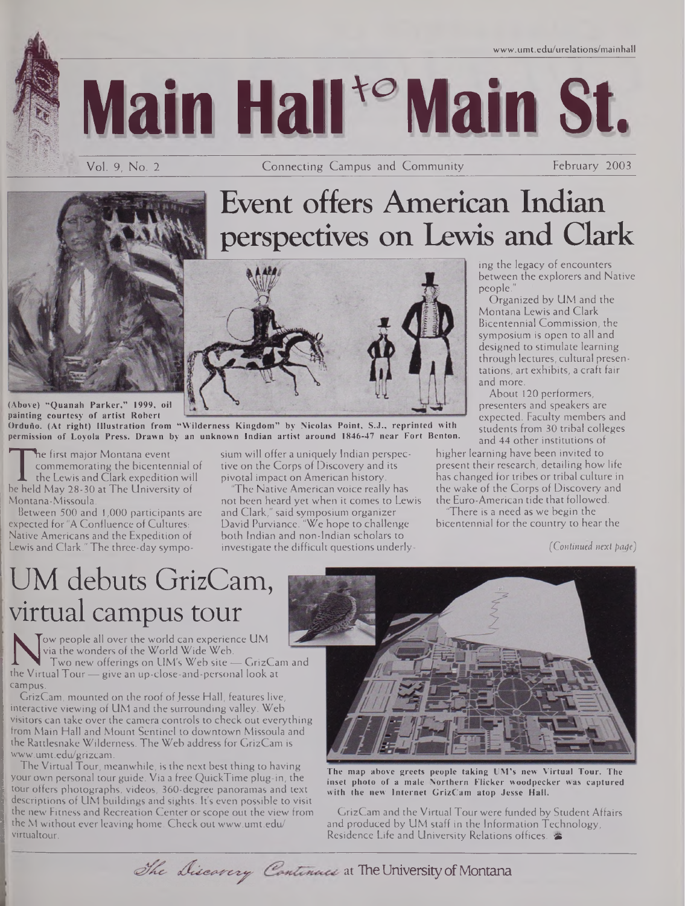

Event offers American Indian

perspectives on Lewis and Clark



**"Wilderness Kingdom" by Nicolas Point, S.J., reprinted with Ordufio. (At right) Illustration from Benton. permission of Loyola Press. Drawn by an unknown Indian artist around 1846-47 near Fort (Above) "Quanah Parker," 1999, oil painting courtesy of artist Robert**

commemorating the bicentennial of<br>the Lewis and Clark expedition will<br>be held May 28-30 at The University of<br>Montana-Missoula he first major Montana event commemorating the bicentennial of the Lewis and Clark expedition will Montana-Missoula.

Between 500 and 1,000 participants are expected for "A Confluence of Cultures: Native Americans and the Expedition of Lewis and Clark." The three-day sympo-

virtualtour.

sium will offer a uniquely Indian perspective on the Corps of Discovery and its pivotal impact on American history.

'The Native American voice really has not been heard yet when it comes to Lewis and Clark," said symposium organizer David Purviance. "We hope to challenge both Indian and non-Indian scholars to investigate the difficult questions underlying the legacy of encounters between the explorers and Native people."

Organized by UM and the Montana Lewis and Clark Bicentennial Commission, the symposium is open to all and designed to stimulate learning through lectures, cultural presentations, art exhibits, a craft fair and more.

About 120 performers, presenters and speakers are expected. Faculty members and students from 30 tribal colleges and 44 other institutions of

higher learning have been invited to present their research, detailing how life has changed for tribes or tribal culture in the wake of the Corps of Discovery and the Euro-American tide that followed.

There is a need as we begin the bicentennial for the country to hear the

*(Continued next paije)*

# UM debuts GrizCam, virtual campus tour

Via the wonders of the World Wide Web.<br>Two new offerings on UM's Web site — GrizCam and<br>the Virtual Tour — give an up-close-and-personal look at ow people all over the world can experience UM via the wonders of the World Wide Web.<br>Two new offerings on UM's Web site — GrizCam and  $\epsilon$ ampus $\epsilon$ 

GrizCam, mounted on the roof of Jesse Hall, features live, interactive viewing of UM and the surrounding valley. Web visitors can take over the camera controls to check out everything. from Main Hall and Mount Sentinel to downtown Missoula and the Rattlesnake Wilderness. The Web address for GrizCam is www.umt.edu/grizcam.

The Virtual Tour, meanwhile, is the next best thing to having your own personal tour guide. Via a free QuickTime plug-in, the tour offers photographs, videos, 360-degree panoramas and text descriptions of UM buildings and sights. It's even possible to visit the new Fitness and Recreation Center or scope out the view from the M without ever leaving home. Check out www.umt.edu/ virtualtour.



**The map above greets people taking UM's new Virtual Tour. The inset photo of a male Northern Flicker woodpecker was captured with the new Internet GrizCam atop Jesse Hail.**

GrizCam and the Virtual Tour were funded by Student Affairs and produced by UM staff in the Information Technology, Residence Life and University Relations offices.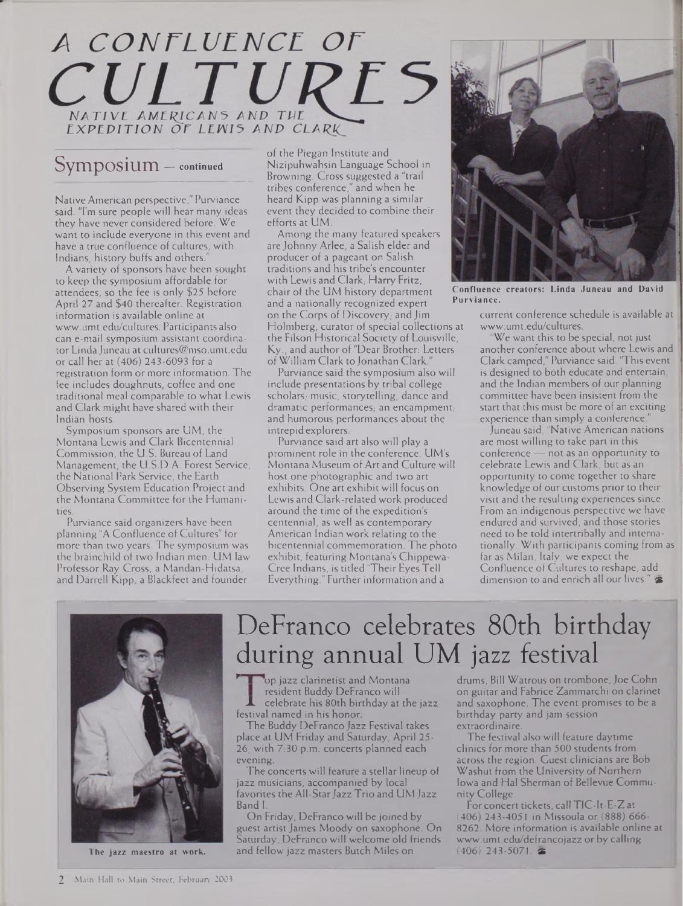## A CONFLUENCE OF CULTURES NATIVE AMERICANS AND THE EXPEDITION OF LEWIS AND CLARK

#### Symposium — **continued**

Native American perspective," Purviance said. "I'm sure people will hear many ideas they have never considered before. We want to include everyone in this event and have a true confluence of cultures, with Indians, history buffs and others.

A variety of sponsors have been sought to keep the symposium affordable for attendees, so the fee is only \$25 before April 27 and \$40 thereafter. Registration information is available online at [www.umt.edu/cultures](http://www.umt.edu/cultures). Participants also can e-mail symposium assistant coordinator Linda Juneau at [cultures@mso.umt.edu](mailto:cultures@mso.umt.edu) or call her at (406) 243-6093 for a registration form or more information. The fee includes doughnuts, coffee and one traditional meal comparable to what Lewis and Clark might have shared with their Indian hosts.

Symposium sponsors are L1M, the Montana Lewis and Clark Bicentennial Commission, the U.S. Bureau of Land Management, the U.S.D.A. Forest Service, the National Park Service, the Earth Observing System Education Project and the Montana Committee for the Humanities.

Purviance said organizers have been planning "A Confluence of Cultures" for more than two years. The symposium was the brainchild of two Indian men: UM law Professor Ray Cross, a Mandan-Hidatsa, and Darrell Kipp, a Blackfeet and founder

of the Piegan Institute and Nizipuhwahsin Language School in Browning. Cross suggested a "trail tribes conference," and when he<br>heard Kipp was planning a similar heard Kipp was planning a similar event they decided to combine their efforts at UM.

Among the many featured speakers are Johnny Arlee, a Salish elder and producer of a pageant on Salish traditions and his tribe's encounter with Lewis and Clark; Harry Fritz, chair of the UM history department and a nationally recognized expert on the Corps of Discovery; and Jim Holmberg, curator of special collections at the Filson Historical Society of Louisville, Ky., and author of "Dear Brother: Letters of William Clark to Jonathan Clark."

Purviance said the symposium also will include presentations by tribal college scholars, music, storytelling, dance and dramatic performances, an encampment; and humorous performances about the intrepid explorers.

Purviance said art also will play a prominent role in the conference. UM's Montana Museum of Art and Culture will host one photographic and two art exhibits. One art exhibit will focus on Lewis and Clark-related work produced around the time of the expedition's centennial, as well as contemporary American Indian work relating to the bicentennial commemoration. The photo exhibit, featuring Montana's Chippewa-Cree Indians, is titled 'Their Eyes Tell Everything." Further information and a



**Confluence creators: Linda Juneau and David Purviance.**

current conference schedule is available at [www.umt.edu/cultures](http://www.umt.edu/cultures).

'We want this to be special, not just another conference about where Lewis and Clark camped," Purviance said. 'This event is designed to both educate and entertain, and the Indian members of our planning committee have been insistent from the start that this must be more of an exciting experience than simply a conference."

juneau said, "Native American nations are most willing to take part in this conference — not as an opportunity to celebrate Lewis and Clark, but as an opportunity to come together to share knowledge of our customs prior to their visit and the resulting experiences since. From an indigenous perspective we have endured and survived, and those stories need to be told intertribally and internationally. With participants coming from as far as Milan, Italy, we expect the Confluence of Cultures to reshape, add dimension to and enrich all our lives." &



**The jazz maestro at work.**

## DeFranco celebrates 80th birthday during annual UM jazz festival

op jazz clarinetist and Montana resident Buddy DeFranco will celebrate his 80th birthday at the jazz festival named in his honor.

The Buddy DeFranco Jazz Festival takes place at UM Friday and Saturday, April 25- 26, with 7:30 p.m. concerts planned each evening.

The concerts will feature a stellar lineup of jazz musicians, accompanied by local favorites the All-StarJazz Trio and UMJazz Band I.

On Friday, DeFranco will be joined by guest artistJames Moody on saxophone. On Saturday, DeFranco will welcome old friends and fellow jazz masters Butch Miles on

drums, Bill Watrous on trombone, Joe Cohn on guitar and Fabrice Zammarchi on clarinet and saxophone. The event promises to be a birthday party and jam session extraordinaire.

The festival also will feature daytime clinics for more than 500 students from across the region. Guest clinicians are Bob Washut from the University of Northern Iowa and Hal Sherman of Bellevue Community College.

For concert tickets, call TIC-It-E-Z at (406) 243-4051 in Missoula or (888) 666- 8262. More information is available online at [www.umt.edu/defrancojazz](http://www.umt.edu/defrancojazz) or by calling  $(406)$  243-5071.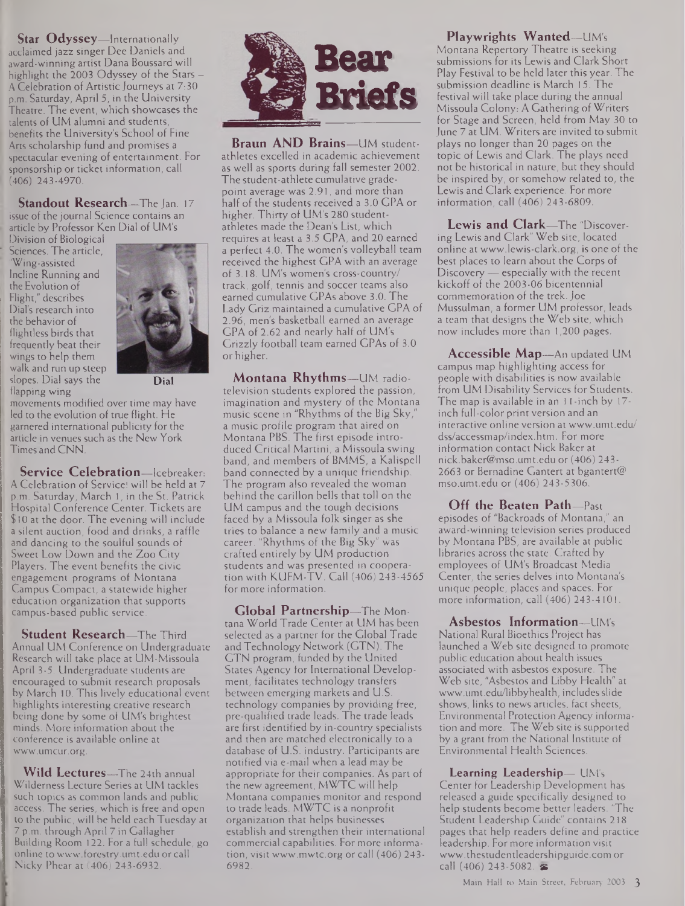**Star Odyssey—**Internationally acclaimed jazz singer Dee Daniels and award-winning artist Dana Boussard will highlight the 2003 Odyssey of the Stars -A Celebration of Artistic Journeys at 7:30 p.m. Saturday, April 5, in the University Theatre. The event, which showcases the talents of UM alumni and students, benefits the University's School of Fine Arts scholarship fund and promises a spectacular evening of entertainment. For sponsorship or ticket information, call (406) 243-4970.

**Standout Research—**The Jan. 17 issue of the journal Science contains an article by Professor Ken Dial of UM's

Division of Biological Sciences. The article, "Wing-assisted Incline Running and the Evolution of Flight," describes Dial's research into the behavior of flightless birds that frequently beat their wings to help them walk and run up steep slopes. Dial says the flapping wing



**Dial**

movements modified over time may have led to the evolution of true flight. He garnered international publicity for the article in venues such as the New York Times and CNN.

**Service Celebration—**Icebreaker: A Celebration of Service! will be held at 7 p.m. Saturday, March 1, in the St. Patrick Hospital Conference Center. Tickets are \$10 at the door. The evening will include a silent auction, food and drinks, a raffle and dancing to the soulful sounds of Sweet Low Down and the Zoo City Players. The event benefits the civic engagement programs of Montana Campus Compact, a statewide higher education organization that supports campus-based public service.

**Student Research—**The Third Annual UM Conference on Undergraduate Research will take place at UM-Missoula April 3-5. Undergraduate students are encouraged to submit research proposals by March 10. This lively educational event highlights interesting creative research being done by some of UM's brightest minds. More information about the conference is available online at [www.umcur.org](http://www.umcur.org).

**Wild Lectures—**The 24th annual Wilderness Lecture Series at UM tackles such topics as common lands and public access. The series, which is free and open to the public, will be held each Tuesday at 7 p.m. through April 7 in Gallagher Building Room 122. For a full schedule, go online to [www.forestry.umt.edu](http://www.forestry.umt.edu) or call Nicky Phear at (406) 243-6932.



**Braun AND Brains—**UM studentathletes excelled in academic achievement as well as sports during fall semester 2002. The student-athlete cumulative gradepoint average was 2.91, and more than half of the students received a 3.0 GPA or higher. Thirty of UM's 280 studentathletes made the Dean's List, which requires at least a 3.5 GPA, and 20 earned a perfect 4.0. The women's volleyball team received the highest GPA with an average of 3.18. UM's women's cross-country/ track, golf, tennis and soccer teams also earned cumulative GPAs above 3.0. The Lady Griz maintained a cumulative GPA of 2.96, men's basketball earned an average GPA of 2.62 and nearly half of UM's Grizzly football team earned GPAs of 3.0 or higher.

**Montana Rhythms—**UM radiotelevision students explored the passion, imagination and mystery of the Montana music scene in "Rhythms of the Big Sky," a music profile program that aired on Montana PBS. The first episode introduced Critical Martini, a Missoula swing band, and members of BMMS, a Kalispell band connected by a unique friendship. The program also revealed the woman behind the carillon bells that toll on the UM campus and the tough decisions faced by a Missoula folk singer as she tries to balance a new family and a music career. "Rhythms of the Big Sky" was crafted entirely by UM production students and was presented in cooperation with KUFM-TV. Call (406) 243-4565 for more information.

**Global Partnership—**The Montana World Trade Center at UM has been selected as a partner for the Global Trade and Technology Network (GTN). The GTN program, funded by the United States Agency for International Development, facilitates technology transfers between emerging markets and U.S. technology companies by providing free, pre-qualified trade leads. The trade leads are first identified by in-country specialists and then are matched electronically to a database of U.S. industry. Participants are notified via e-mail when a lead may be appropriate for their companies. As part of the new agreement, MWTC will help Montana companies monitor and respond to trade leads. MWTC is a nonprofit organization that helps businesses establish and strengthen their international commercial capabilities. For more information, visit [www.mwtc.org](http://www.mwtc.org) or call (406) 243- 6982.

**Playwrights Wanted—**UM's Montana Repertory Theatre is seeking submissions for its Lewis and Clark Short Play Festival to be held later this year. The submission deadline is March 15. The festival will take place during the annual Missoula Colony: A Gathering of Writers for Stage and Screen, held from May 30 to June 7 at UM. Writers are invited to submit plays no longer than 20 pages on the topic of Lewis and Clark. The plays need not be historical in nature, but they should be inspired by, or somehow related to, the Lewis and Clark experience. For more information, call (406) 243-6809.

**Lewis and Clark—**The "Discovering Lewis and Clark" Web site, located online at [www.lewis-clark.org](http://www.lewis-clark.org), is one of the best places to learn about the Corps of Discovery — especially with the recent kickoff of the 2003-06 bicentennial commemoration of the trek.Joe Mussulman, a former UM professor, leads a team that designs the Web site, which now includes more than 1,200 pages.

**Accessible Map—**An updated UM campus map highlighting access for people with disabilities is now available from UM Disability Services for Students. The map is available in an 11-inch by 17 inch full-color print version and an interactive online version at [www.umt.edu/](http://www.umt.edu/) dss/accessmap/index.htm. For more information contact Nick Baker at [nick.baker@mso.umt.edu](mailto:nick.baker@mso.umt.edu) or (406) 243- 2663 or Bernadine Gantert at bgantert@ <mso.umt.edu> or (406) 243-5306.

**Off the Beaten Path—**Past episodes of "Backroads of Montana," an award-winning television series produced by Montana PBS, are available at public libraries across the state. Crafted by employees of UM's Broadcast Media Center, the series delves into Montana's unique people, places and spaces. For more information, call (406) 243-4101.

**Asbestos Information—**UM's National Rural Bioethics Project has launched a Web site designed to promote public education about health issues associated with asbestos exposure. The Web site, "Asbestos and Libby Health" at [www.umt.edu/libbyhealth](http://www.umt.edu/libbyhealth), includesslide shows, links to news articles, fact sheets, Environmental Protection Agency information and more. The Web site is supported by a grant from the National Institute of Environmental Health Sciences.

**Learning Leadership—** UM's Center for Leadership Development has released a guide specifically designed to help students become better leaders. 'The Student Leadership Guide" contains 218 pages that help readers define and practice leadership. For more information visit [www.thestudentleadershipguide.com](http://www.thestudentleadershipguide.com) or call (406) 243-5082.